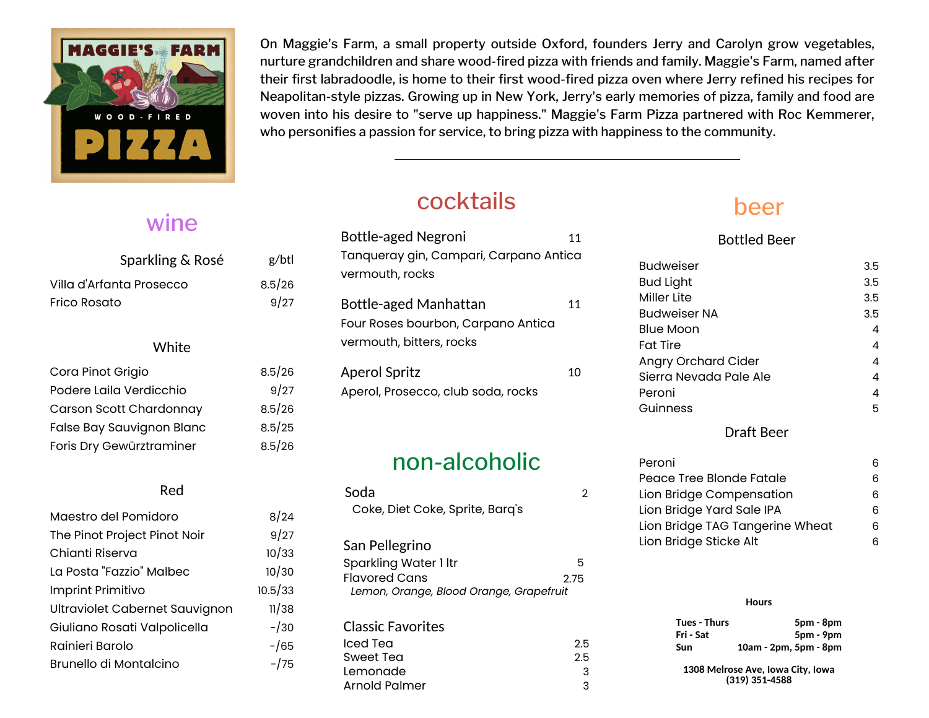

#### wine

| Sparkling & Rosé          | g/btl  |  |
|---------------------------|--------|--|
| Villa d'Arfanta Prosecco  | 8.5/26 |  |
| Frico Rosato              | 9/27   |  |
|                           |        |  |
| White                     |        |  |
| Cora Pinot Grigio         | 8.5/26 |  |
| Podere Laila Verdicchio   | 9/27   |  |
| Carson Scott Chardonnay   | 8.5/26 |  |
| False Bay Sauvignon Blanc | 8.5/25 |  |
| Foris Dry Gewürztraminer  | 8.5/26 |  |
|                           |        |  |

#### Red

| Maestro del Pomidoro           | 8/24    |
|--------------------------------|---------|
| The Pinot Project Pinot Noir   | 9/27    |
| Chianti Riserva                | 10/33   |
| La Posta "Fazzio" Malbec       | 10/30   |
| Imprint Primitivo              | 10.5/33 |
| Ultraviolet Cabernet Sauvignon | 11/38   |
| Giuliano Rosati Valpolicella   | $-130$  |
| Rainieri Barolo                | $-165$  |
| Brunello di Montalcino         | $-175$  |

On Maggie's Farm, a small property outside Oxford, founders Jerry and Carolyn grow vegetables, nurture grandchildren and share wood-fired pizza with friends and family. Maggie's Farm, named after their first labradoodle, is home to their first wood-fired pizza oven where Jerry refined his recipes for Neapolitan-style pizzas. Growing up in New York, Jerry's early memories of pizza, family and food are woven into his desire to "serve up happiness." Maggie's Farm Pizza partnered with Roc Kemmerer, who personifies a passion for service, to bring pizza with happiness to the community.

# cocktails

| <b>Bottle-aged Negroni</b>                                                              | 11 |
|-----------------------------------------------------------------------------------------|----|
| Tanqueray gin, Campari, Carpano Antica                                                  |    |
| vermouth, rocks                                                                         |    |
| Bottle-aged Manhattan<br>Four Roses bourbon, Carpano Antica<br>vermouth, bitters, rocks | 11 |
| <b>Aperol Spritz</b>                                                                    | 10 |
| Aperol, Prosecco, club soda, rocks                                                      |    |

#### non-alcoholic

| Soda<br>Coke, Diet Coke, Sprite, Barq's                                                                    |           |
|------------------------------------------------------------------------------------------------------------|-----------|
| San Pellegrino<br>Sparkling Water 1 ltr<br><b>Flavored Cans</b><br>Lemon, Orange, Blood Orange, Grapefruit | 5<br>2 75 |
| <b>Classic Favorites</b>                                                                                   |           |
| Iced Tea                                                                                                   | 2.5       |
| Sweet Tea                                                                                                  | 2.5       |
| Lemonade                                                                                                   | З         |
| <b>Arnold Palmer</b>                                                                                       | 3         |

## beer

Bottled Beer

| <b>Budweiser</b>       | 3.5 |
|------------------------|-----|
| <b>Bud Light</b>       | 3.5 |
| Miller Lite            | 3.5 |
| Budweiser NA           | 3.5 |
| <b>Blue Moon</b>       | 4   |
| <b>Fat Tire</b>        | 4   |
| Angry Orchard Cider    | 4   |
| Sierra Nevada Pale Ale | 4   |
| Peroni                 | 4   |
| Guinness               | 5   |
|                        |     |

#### Draft Beer

| Peroni                          |   |
|---------------------------------|---|
| Peace Tree Blonde Fatale        | ൳ |
| Lion Bridge Compensation        |   |
| Lion Bridge Yard Sale IPA       | ൳ |
| Lion Bridge TAG Tangerine Wheat |   |
| Lion Bridge Sticke Alt          |   |

#### **Hours**

| Tues - Thurs | 5pm - 8pm                                           |
|--------------|-----------------------------------------------------|
| Fri - Sat    | 5pm - 9pm                                           |
| Sun          | 10am - 2pm, 5pm - 8pm                               |
|              | 1308 Melrose Ave, Iowa City, Iowa<br>(319) 351-4588 |